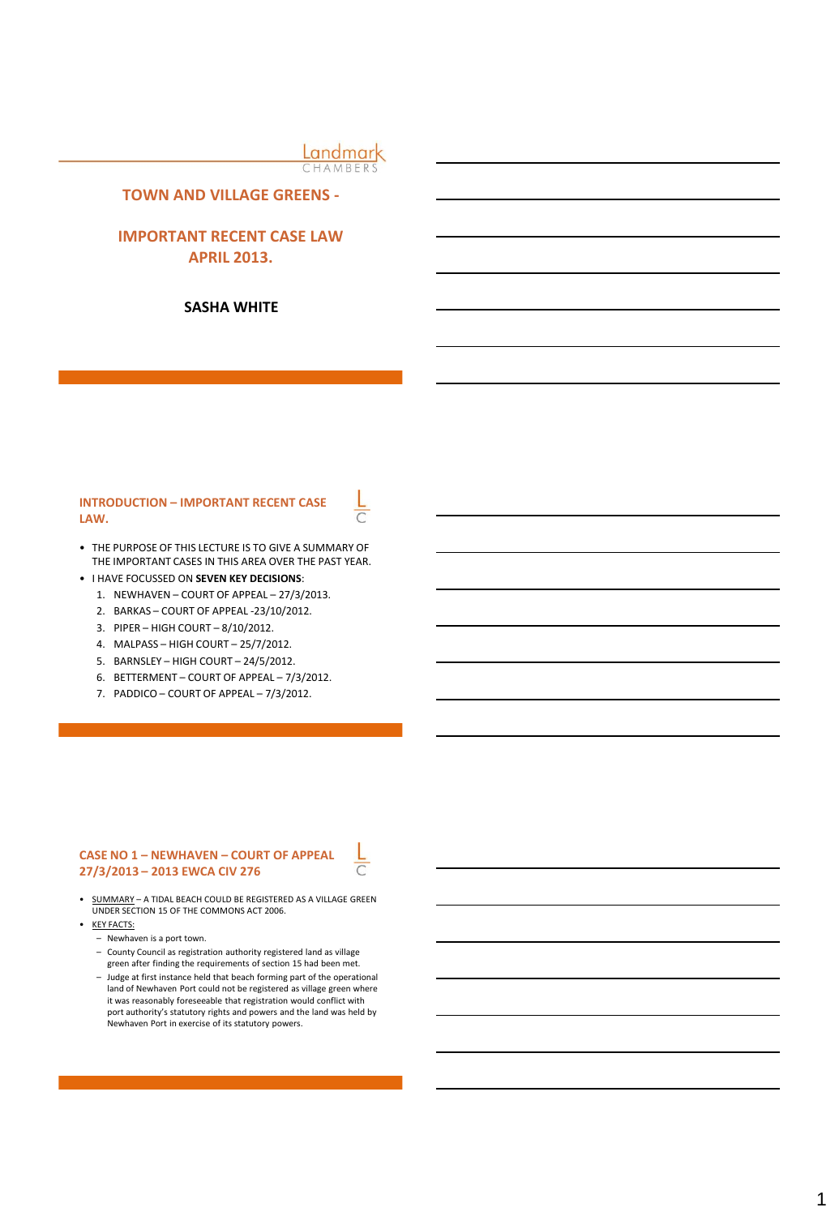Landmark CHAMBERS

## **TOWN AND VILLAGE GREENS -**

# **IMPORTANT RECENT CASE LAW APRIL 2013.**

### **SASHA WHITE**

## **INTRODUCTION – IMPORTANT RECENT CASE LAW.**

- THE PURPOSE OF THIS LECTURE IS TO GIVE A SUMMARY OF THE IMPORTANT CASES IN THIS AREA OVER THE PAST YEAR.
- I HAVE FOCUSSED ON **SEVEN KEY DECISIONS**:
	- 1. NEWHAVEN COURT OF APPEAL 27/3/2013.
	- 2. BARKAS COURT OF APPEAL -23/10/2012.
	- 3. PIPER HIGH COURT 8/10/2012.
	- 4. MALPASS HIGH COURT 25/7/2012.
	- 5. BARNSLEY HIGH COURT 24/5/2012.
	- 6. BETTERMENT COURT OF APPEAL 7/3/2012.
	- 7. PADDICO COURT OF APPEAL 7/3/2012.

#### **CASE NO 1 – NEWHAVEN – COURT OF APPEAL 27/3/2013 – 2013 EWCA CIV 276**

• SUMMARY – A TIDAL BEACH COULD BE REGISTERED AS A VILLAGE GREEN UNDER SECTION 15 OF THE COMMONS ACT 2006.

- **KEY FACTS:** 
	- Newhaven is a port town.
	- County Council as registration authority registered land as village green after finding the requirements of section 15 had been met.
	- Judge at first instance held that beach forming part of the operational land of Newhaven Port could not be registered as village green where it was reasonably foreseeable that registration would conflict with port authority's statutory rights and powers and the land was held by Newhaven Port in exercise of its statutory powers.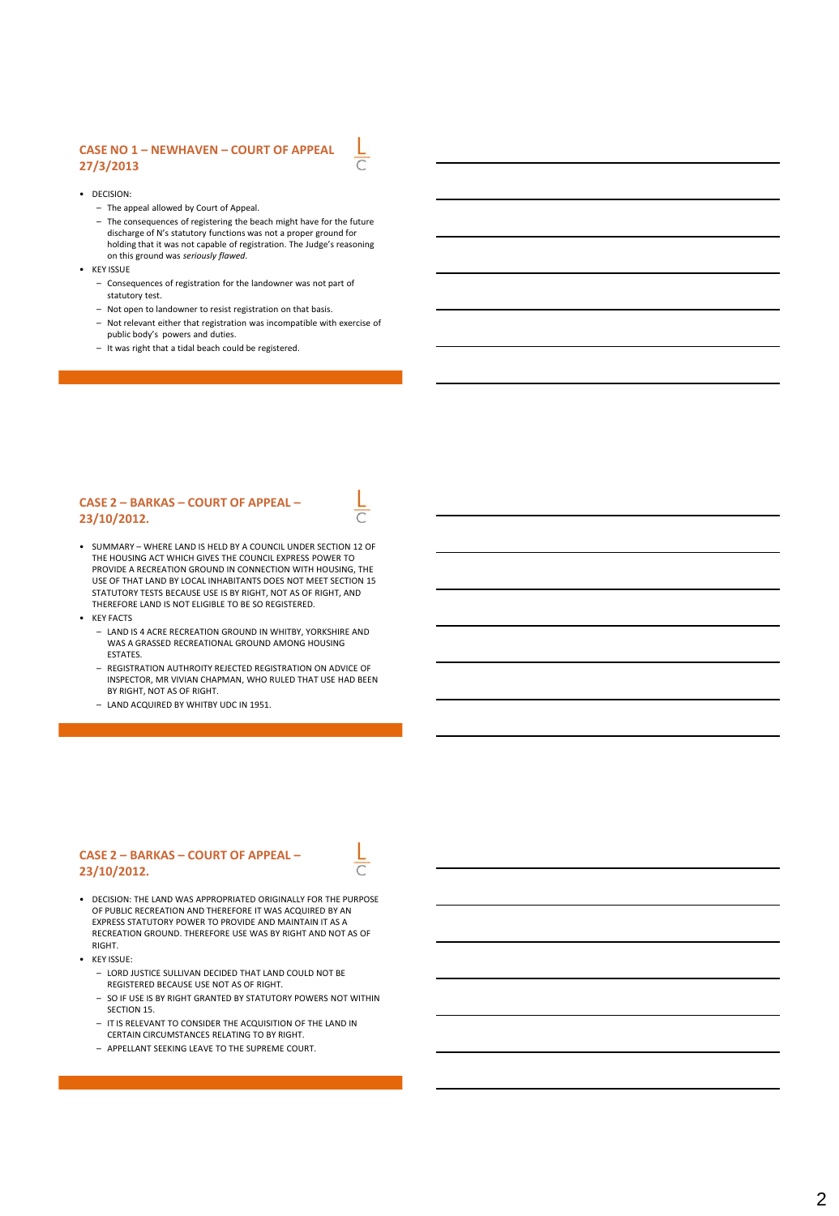## **CASE NO 1 – NEWHAVEN – COURT OF APPEAL 27/3/2013**

- DECISION:
	- The appeal allowed by Court of Appeal.
	- The consequences of registering the beach might have for the future discharge of N's statutory functions was not a proper ground for holding that it was not capable of registration. The Judge's reasoning on this ground was *seriously flawed*.
- KEY ISSUE
	- Consequences of registration for the landowner was not part of statutory test.
	- Not open to landowner to resist registration on that basis.
	- Not relevant either that registration was incompatible with exercise of public body's powers and duties.
	- It was right that a tidal beach could be registered.

#### **CASE 2 – BARKAS – COURT OF APPEAL – 23/10/2012.**

- SUMMARY WHERE LAND IS HELD BY A COUNCIL UNDER SECTION 12 OF THE HOUSING ACT WHICH GIVES THE COUNCIL EXPRESS POWER TO PROVIDE A RECREATION GROUND IN CONNECTION WITH HOUSING, THE USE OF THAT LAND BY LOCAL INHABITANTS DOES NOT MEET SECTION 15 STATUTORY TESTS BECAUSE USE IS BY RIGHT, NOT AS OF RIGHT, AND THEREFORE LAND IS NOT ELIGIBLE TO BE SO REGISTERED.
- KEY FACTS
	- LAND IS 4 ACRE RECREATION GROUND IN WHITBY, YORKSHIRE AND WAS A GRASSED RECREATIONAL GROUND AMONG HOUSING ESTATES.
	- REGISTRATION AUTHROITY REJECTED REGISTRATION ON ADVICE OF INSPECTOR, MR VIVIAN CHAPMAN, WHO RULED THAT USE HAD BEEN BY RIGHT, NOT AS OF RIGHT.
	- LAND ACQUIRED BY WHITBY UDC IN 1951.

#### **CASE 2 – BARKAS – COURT OF APPEAL – 23/10/2012.**

- DECISION: THE LAND WAS APPROPRIATED ORIGINALLY FOR THE PURPOSE OF PUBLIC RECREATION AND THEREFORE IT WAS ACQUIRED BY AN EXPRESS STATUTORY POWER TO PROVIDE AND MAINTAIN IT AS A RECREATION GROUND. THEREFORE USE WAS BY RIGHT AND NOT AS OF RIGHT.
- KEY ISSUE:
	- LORD JUSTICE SULLIVAN DECIDED THAT LAND COULD NOT BE REGISTERED BECAUSE USE NOT AS OF RIGHT.
	- SO IF USE IS BY RIGHT GRANTED BY STATUTORY POWERS NOT WITHIN SECTION 15.
	- IT IS RELEVANT TO CONSIDER THE ACQUISITION OF THE LAND IN CERTAIN CIRCUMSTANCES RELATING TO BY RIGHT.
	- APPELLANT SEEKING LEAVE TO THE SUPREME COURT.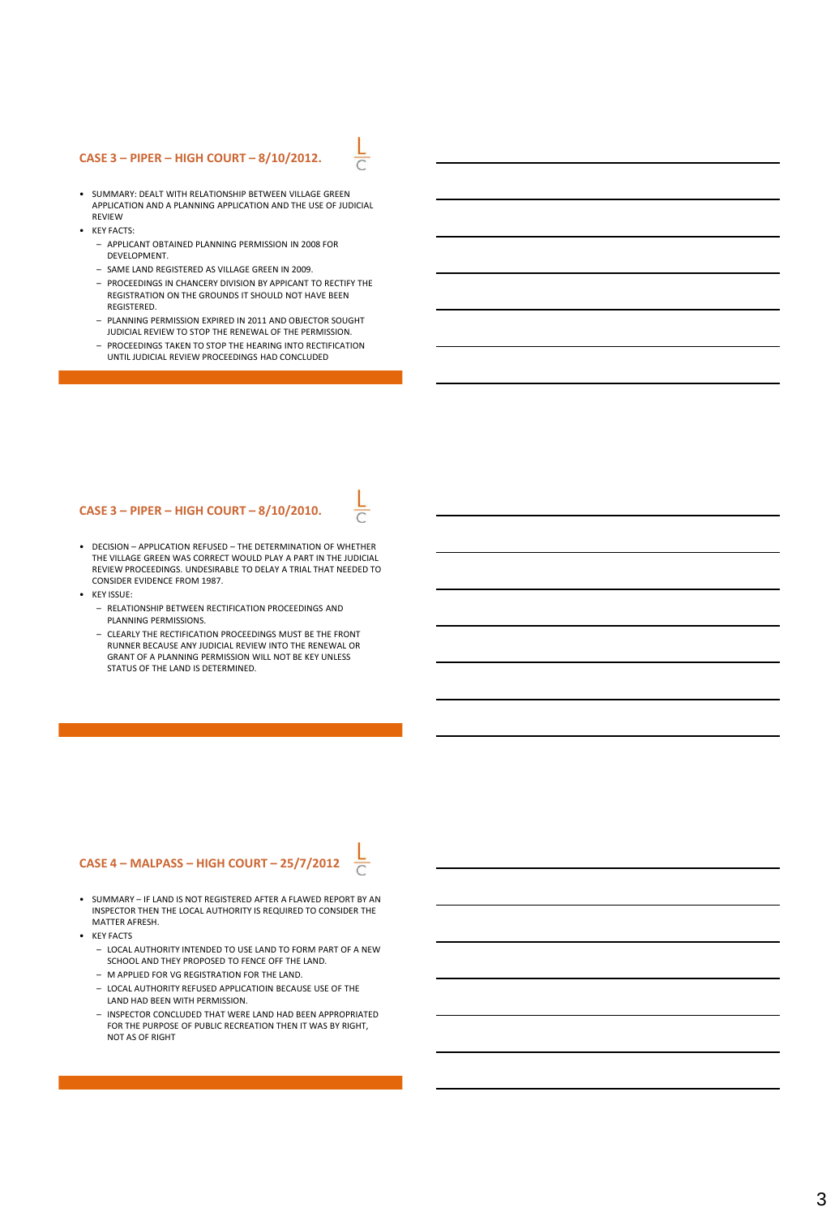#### **CASE 3 – PIPER – HIGH COURT – 8/10/2012.**

- SUMMARY: DEALT WITH RELATIONSHIP BETWEEN VILLAGE GREEN APPLICATION AND A PLANNING APPLICATION AND THE USE OF JUDICIAL **REVIEW**
- KEY FACTS:
	- APPLICANT OBTAINED PLANNING PERMISSION IN 2008 FOR DEVELOPMENT.
	- SAME LAND REGISTERED AS VILLAGE GREEN IN 2009.
	- PROCEEDINGS IN CHANCERY DIVISION BY APPICANT TO RECTIFY THE REGISTRATION ON THE GROUNDS IT SHOULD NOT HAVE BEEN REGISTERED.
	- PLANNING PERMISSION EXPIRED IN 2011 AND OBJECTOR SOUGHT JUDICIAL REVIEW TO STOP THE RENEWAL OF THE PERMISSION.
	- PROCEEDINGS TAKEN TO STOP THE HEARING INTO RECTIFICATION UNTIL JUDICIAL REVIEW PROCEEDINGS HAD CONCLUDED

#### **CASE 3 – PIPER – HIGH COURT – 8/10/2010.**

- DECISION APPLICATION REFUSED THE DETERMINATION OF WHETHER THE VILLAGE GREEN WAS CORRECT WOULD PLAY A PART IN THE JUDICIAL REVIEW PROCEEDINGS. UNDESIRABLE TO DELAY A TRIAL THAT NEEDED TO CONSIDER EVIDENCE FROM 1987.
- KEY ISSUE:
	- RELATIONSHIP BETWEEN RECTIFICATION PROCEEDINGS AND PLANNING PERMISSIONS.
	- CLEARLY THE RECTIFICATION PROCEEDINGS MUST BE THE FRONT RUNNER BECAUSE ANY JUDICIAL REVIEW INTO THE RENEWAL OR GRANT OF A PLANNING PERMISSION WILL NOT BE KEY UNLESS STATUS OF THE LAND IS DETERMINED.

#### **CASE 4 – MALPASS – HIGH COURT – 25/7/2012**

- SUMMARY IF LAND IS NOT REGISTERED AFTER A FLAWED REPORT BY AN INSPECTOR THEN THE LOCAL AUTHORITY IS REQUIRED TO CONSIDER THE MATTER AFRESH.
- KEY FACTS
	- LOCAL AUTHORITY INTENDED TO USE LAND TO FORM PART OF A NEW SCHOOL AND THEY PROPOSED TO FENCE OFF THE LAND.
	- M APPLIED FOR VG REGISTRATION FOR THE LAND.
	- LOCAL AUTHORITY REFUSED APPLICATIOIN BECAUSE USE OF THE LAND HAD BEEN WITH PERMISSION.
	- INSPECTOR CONCLUDED THAT WERE LAND HAD BEEN APPROPRIATED FOR THE PURPOSE OF PUBLIC RECREATION THEN IT WAS BY RIGHT, NOT AS OF RIGHT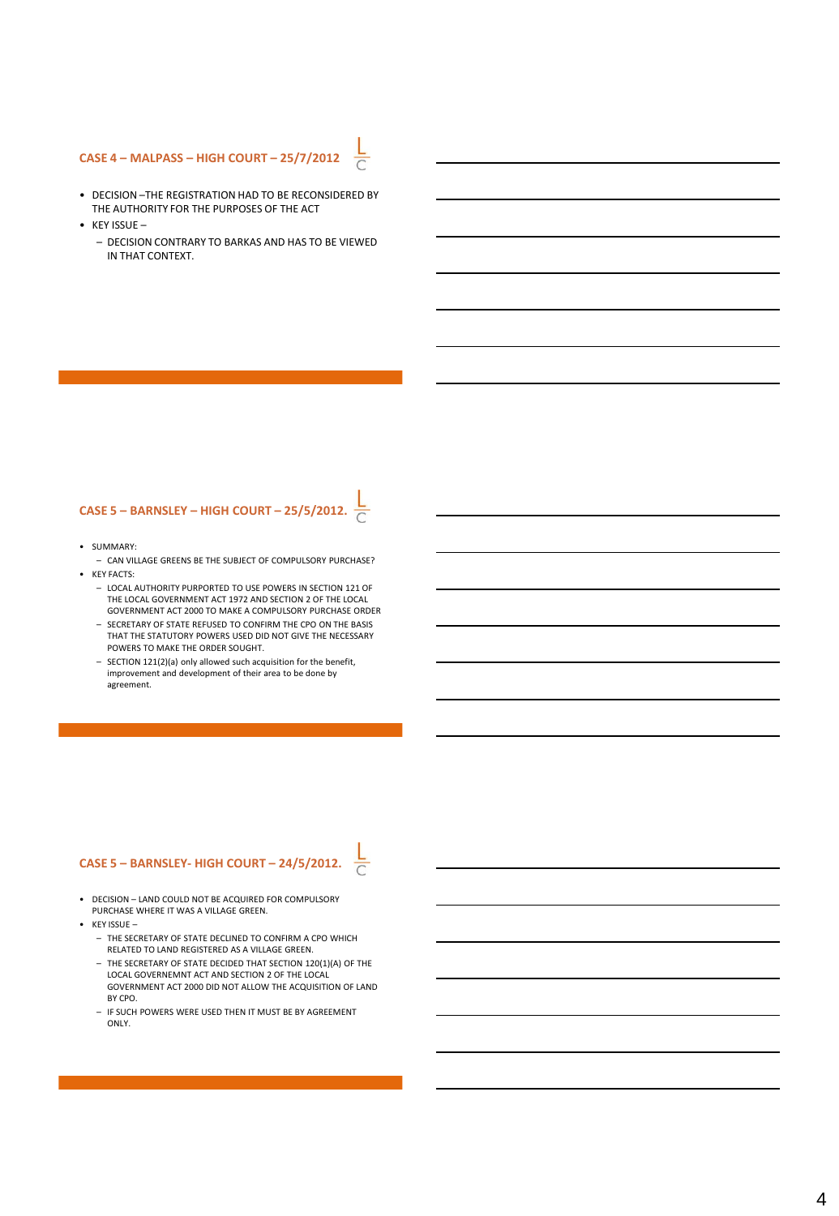## **CASE 4 – MALPASS – HIGH COURT – 25/7/2012**

• DECISION –THE REGISTRATION HAD TO BE RECONSIDERED BY THE AUTHORITY FOR THE PURPOSES OF THE ACT

 $\frac{1}{\sqrt{2}}$ 

- $\cdot$  KEY ISSUE
	- DECISION CONTRARY TO BARKAS AND HAS TO BE VIEWED IN THAT CONTEXT.

## **CASE 5 – BARNSLEY – HIGH COURT – 25/5/2012.**

- SUMMARY:
- CAN VILLAGE GREENS BE THE SUBJECT OF COMPULSORY PURCHASE? • KEY FACTS:
	- LOCAL AUTHORITY PURPORTED TO USE POWERS IN SECTION 121 OF THE LOCAL GOVERNMENT ACT 1972 AND SECTION 2 OF THE LOCAL GOVERNMENT ACT 2000 TO MAKE A COMPULSORY PURCHASE ORDER
	- SECRETARY OF STATE REFUSED TO CONFIRM THE CPO ON THE BASIS THAT THE STATUTORY POWERS USED DID NOT GIVE THE NECESSARY POWERS TO MAKE THE ORDER SOUGHT.
	- SECTION 121(2)(a) only allowed such acquisition for the benefit, improvement and development of their area to be done by agreement.

## **CASE 5 – BARNSLEY- HIGH COURT – 24/5/2012.**

- DECISION LAND COULD NOT BE ACQUIRED FOR COMPULSORY PURCHASE WHERE IT WAS A VILLAGE GREEN.
- KEY ISSUE
	- THE SECRETARY OF STATE DECLINED TO CONFIRM A CPO WHICH RELATED TO LAND REGISTERED AS A VILLAGE GREEN.
	- THE SECRETARY OF STATE DECIDED THAT SECTION 120(1)(A) OF THE LOCAL GOVERNEMNT ACT AND SECTION 2 OF THE LOCAL GOVERNMENT ACT 2000 DID NOT ALLOW THE ACQUISITION OF LAND BY CPO.
	- IF SUCH POWERS WERE USED THEN IT MUST BE BY AGREEMENT ONLY.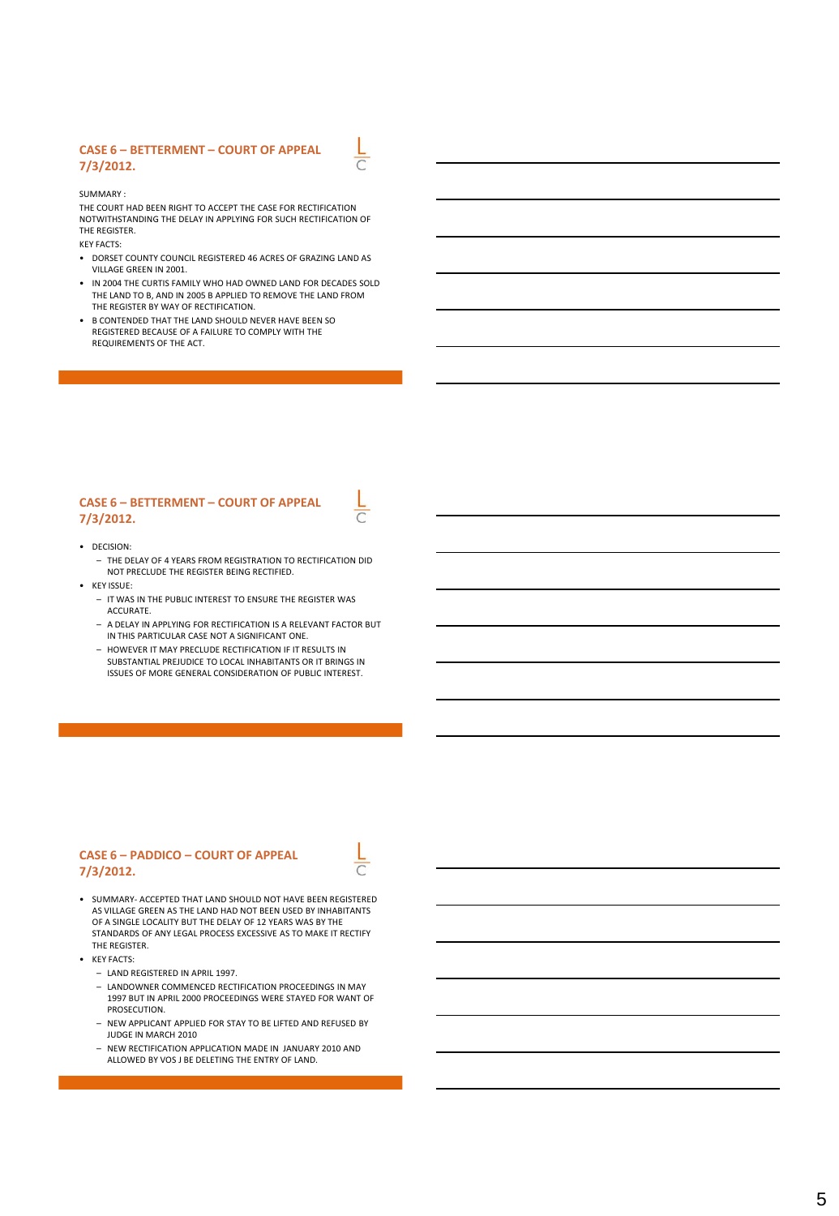#### **CASE 6 – BETTERMENT – COURT OF APPEAL 7/3/2012.**

SUMMARY :

THE COURT HAD BEEN RIGHT TO ACCEPT THE CASE FOR RECTIFICATION NOTWITHSTANDING THE DELAY IN APPLYING FOR SUCH RECTIFICATION OF THE REGISTER. KEY FACTS:

 $\overline{\sqrt{2}}$ 

- DORSET COUNTY COUNCIL REGISTERED 46 ACRES OF GRAZING LAND AS VILLAGE GREEN IN 2001.
- IN 2004 THE CURTIS FAMILY WHO HAD OWNED LAND FOR DECADES SOLD THE LAND TO B, AND IN 2005 B APPLIED TO REMOVE THE LAND FROM THE REGISTER BY WAY OF RECTIFICATION.
- B CONTENDED THAT THE LAND SHOULD NEVER HAVE BEEN SO REGISTERED BECAUSE OF A FAILURE TO COMPLY WITH THE REQUIREMENTS OF THE ACT.

#### **CASE 6 – BETTERMENT – COURT OF APPEAL 7/3/2012.**

#### • DECISION:

- THE DELAY OF 4 YEARS FROM REGISTRATION TO RECTIFICATION DID NOT PRECLUDE THE REGISTER BEING RECTIFIED.
- KEY ISSUE:
	- IT WAS IN THE PUBLIC INTEREST TO ENSURE THE REGISTER WAS ACCURATE.
	- A DELAY IN APPLYING FOR RECTIFICATION IS A RELEVANT FACTOR BUT IN THIS PARTICULAR CASE NOT A SIGNIFICANT ONE.
	- HOWEVER IT MAY PRECLUDE RECTIFICATION IF IT RESULTS IN SUBSTANTIAL PREJUDICE TO LOCAL INHABITANTS OR IT BRINGS IN ISSUES OF MORE GENERAL CONSIDERATION OF PUBLIC INTEREST.

#### **CASE 6 – PADDICO – COURT OF APPEAL 7/3/2012.**

- SUMMARY- ACCEPTED THAT LAND SHOULD NOT HAVE BEEN REGISTERED
- AS VILLAGE GREEN AS THE LAND HAD NOT BEEN USED BY INHABITANTS OF A SINGLE LOCALITY BUT THE DELAY OF 12 YEARS WAS BY THE STANDARDS OF ANY LEGAL PROCESS EXCESSIVE AS TO MAKE IT RECTIFY THE REGISTER.
- KEY FACTS:
	- LAND REGISTERED IN APRIL 1997.
	- LANDOWNER COMMENCED RECTIFICATION PROCEEDINGS IN MAY 1997 BUT IN APRIL 2000 PROCEEDINGS WERE STAYED FOR WANT OF PROSECUTION.
	- NEW APPLICANT APPLIED FOR STAY TO BE LIFTED AND REFUSED BY JUDGE IN MARCH 2010
	- NEW RECTIFICATION APPLICATION MADE IN JANUARY 2010 AND ALLOWED BY VOS J BE DELETING THE ENTRY OF LAND.